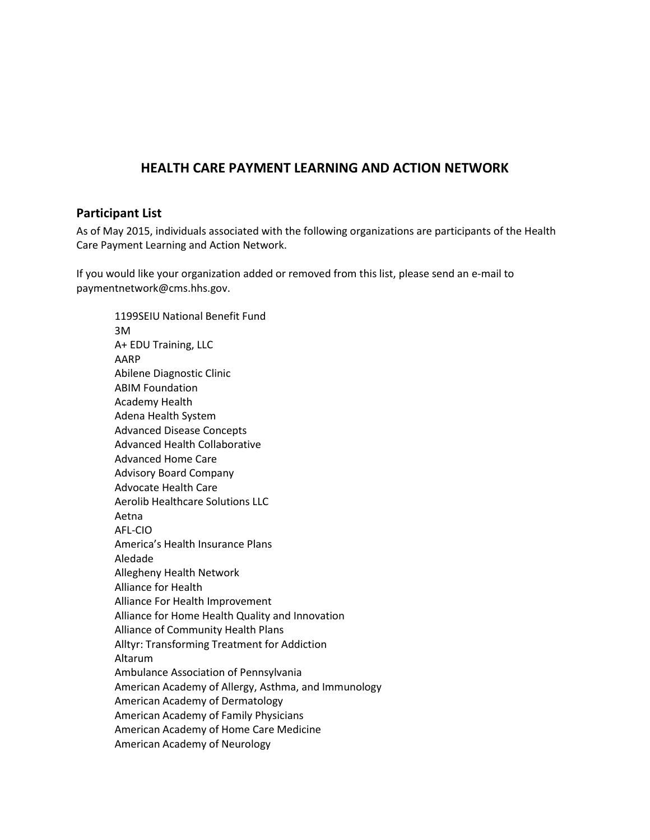## **HEALTH CARE PAYMENT LEARNING AND ACTION NETWORK**

## **Participant List**

As of May 2015, individuals associated with the following organizations are participants of the Health Care Payment Learning and Action Network.

If you would like your organization added or removed from this list, please send an e-mail to paymentnetwork@cms.hhs.gov.

1199SEIU National Benefit Fund 3M A+ EDU Training, LLC AARP Abilene Diagnostic Clinic ABIM Foundation Academy Health Adena Health System Advanced Disease Concepts Advanced Health Collaborative Advanced Home Care Advisory Board Company Advocate Health Care Aerolib Healthcare Solutions LLC Aetna AFL-CIO America's Health Insurance Plans Aledade Allegheny Health Network Alliance for Health Alliance For Health Improvement Alliance for Home Health Quality and Innovation Alliance of Community Health Plans Alltyr: Transforming Treatment for Addiction Altarum Ambulance Association of Pennsylvania American Academy of Allergy, Asthma, and Immunology American Academy of Dermatology American Academy of Family Physicians American Academy of Home Care Medicine American Academy of Neurology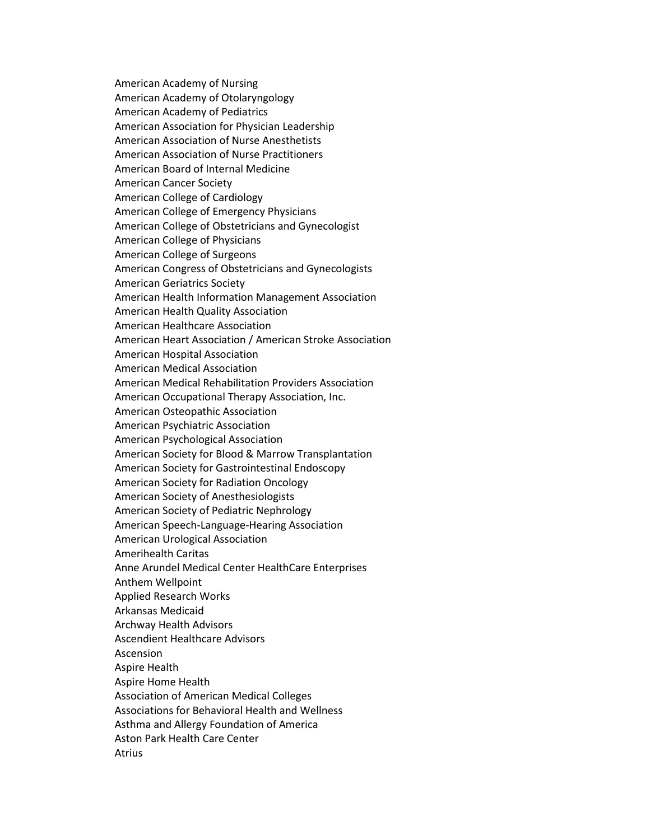American Academy of Nursing American Academy of Otolaryngology American Academy of Pediatrics American Association for Physician Leadership American Association of Nurse Anesthetists American Association of Nurse Practitioners American Board of Internal Medicine American Cancer Society American College of Cardiology American College of Emergency Physicians American College of Obstetricians and Gynecologist American College of Physicians American College of Surgeons American Congress of Obstetricians and Gynecologists American Geriatrics Society American Health Information Management Association American Health Quality Association American Healthcare Association American Heart Association / American Stroke Association American Hospital Association American Medical Association American Medical Rehabilitation Providers Association American Occupational Therapy Association, Inc. American Osteopathic Association American Psychiatric Association American Psychological Association American Society for Blood & Marrow Transplantation American Society for Gastrointestinal Endoscopy American Society for Radiation Oncology American Society of Anesthesiologists American Society of Pediatric Nephrology American Speech-Language-Hearing Association American Urological Association Amerihealth Caritas Anne Arundel Medical Center HealthCare Enterprises Anthem Wellpoint Applied Research Works Arkansas Medicaid Archway Health Advisors Ascendient Healthcare Advisors Ascension Aspire Health Aspire Home Health Association of American Medical Colleges Associations for Behavioral Health and Wellness Asthma and Allergy Foundation of America Aston Park Health Care Center Atrius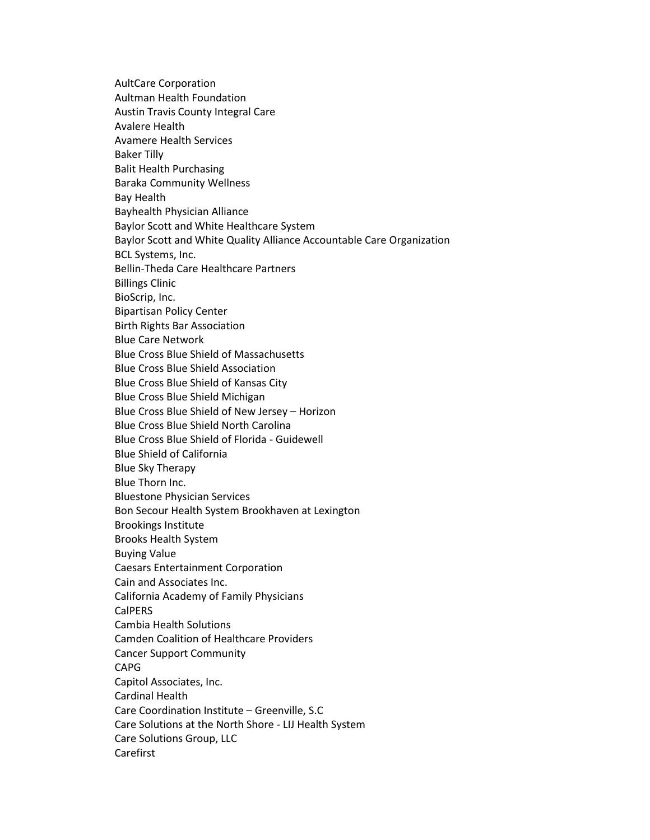AultCare Corporation Aultman Health Foundation Austin Travis County Integral Care Avalere Health Avamere Health Services Baker Tilly Balit Health Purchasing Baraka Community Wellness Bay Health Bayhealth Physician Alliance Baylor Scott and White Healthcare System Baylor Scott and White Quality Alliance Accountable Care Organization BCL Systems, Inc. Bellin-Theda Care Healthcare Partners Billings Clinic BioScrip, Inc. Bipartisan Policy Center Birth Rights Bar Association Blue Care Network Blue Cross Blue Shield of Massachusetts Blue Cross Blue Shield Association Blue Cross Blue Shield of Kansas City Blue Cross Blue Shield Michigan Blue Cross Blue Shield of New Jersey – Horizon Blue Cross Blue Shield North Carolina Blue Cross Blue Shield of Florida - Guidewell Blue Shield of California Blue Sky Therapy Blue Thorn Inc. Bluestone Physician Services Bon Secour Health System Brookhaven at Lexington Brookings Institute Brooks Health System Buying Value Caesars Entertainment Corporation Cain and Associates Inc. California Academy of Family Physicians **CalPERS** Cambia Health Solutions Camden Coalition of Healthcare Providers Cancer Support Community CAPG Capitol Associates, Inc. Cardinal Health Care Coordination Institute – Greenville, S.C Care Solutions at the North Shore - LIJ Health System Care Solutions Group, LLC Carefirst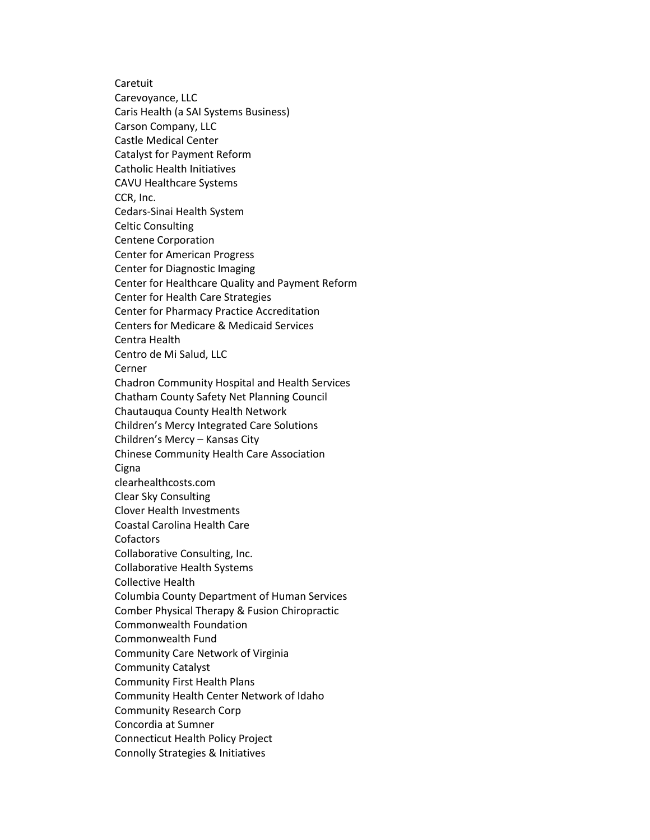Caretuit Carevoyance, LLC Caris Health (a SAI Systems Business) Carson Company, LLC Castle Medical Center Catalyst for Payment Reform Catholic Health Initiatives CAVU Healthcare Systems CCR, Inc. Cedars-Sinai Health System Celtic Consulting Centene Corporation Center for American Progress Center for Diagnostic Imaging Center for Healthcare Quality and Payment Reform Center for Health Care Strategies Center for Pharmacy Practice Accreditation Centers for Medicare & Medicaid Services Centra Health Centro de Mi Salud, LLC Cerner Chadron Community Hospital and Health Services Chatham County Safety Net Planning Council Chautauqua County Health Network Children's Mercy Integrated Care Solutions Children's Mercy – Kansas City Chinese Community Health Care Association **Cigna** clearhealthcosts.com Clear Sky Consulting Clover Health Investments Coastal Carolina Health Care Cofactors Collaborative Consulting, Inc. Collaborative Health Systems Collective Health Columbia County Department of Human Services Comber Physical Therapy & Fusion Chiropractic Commonwealth Foundation Commonwealth Fund Community Care Network of Virginia Community Catalyst Community First Health Plans Community Health Center Network of Idaho Community Research Corp Concordia at Sumner Connecticut Health Policy Project Connolly Strategies & Initiatives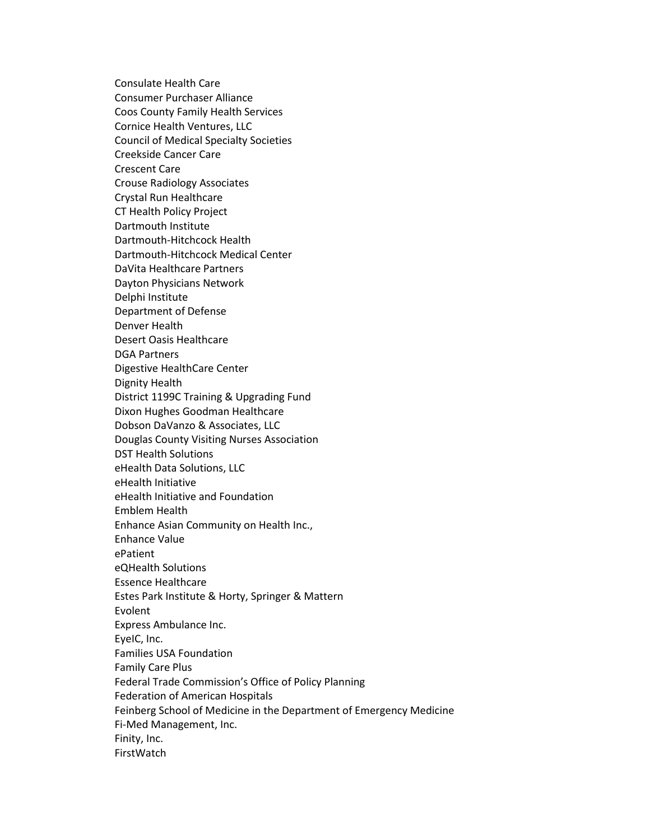Consulate Health Care Consumer Purchaser Alliance Coos County Family Health Services Cornice Health Ventures, LLC Council of Medical Specialty Societies Creekside Cancer Care Crescent Care Crouse Radiology Associates Crystal Run Healthcare CT Health Policy Project Dartmouth Institute Dartmouth-Hitchcock Health Dartmouth-Hitchcock Medical Center DaVita Healthcare Partners Dayton Physicians Network Delphi Institute Department of Defense Denver Health Desert Oasis Healthcare DGA Partners Digestive HealthCare Center Dignity Health District 1199C Training & Upgrading Fund Dixon Hughes Goodman Healthcare Dobson DaVanzo & Associates, LLC Douglas County Visiting Nurses Association DST Health Solutions eHealth Data Solutions, LLC eHealth Initiative eHealth Initiative and Foundation Emblem Health Enhance Asian Community on Health Inc., Enhance Value ePatient eQHealth Solutions Essence Healthcare Estes Park Institute & Horty, Springer & Mattern Evolent Express Ambulance Inc. EyeIC, Inc. Families USA Foundation Family Care Plus Federal Trade Commission's Office of Policy Planning Federation of American Hospitals Feinberg School of Medicine in the Department of Emergency Medicine Fi-Med Management, Inc. Finity, Inc. FirstWatch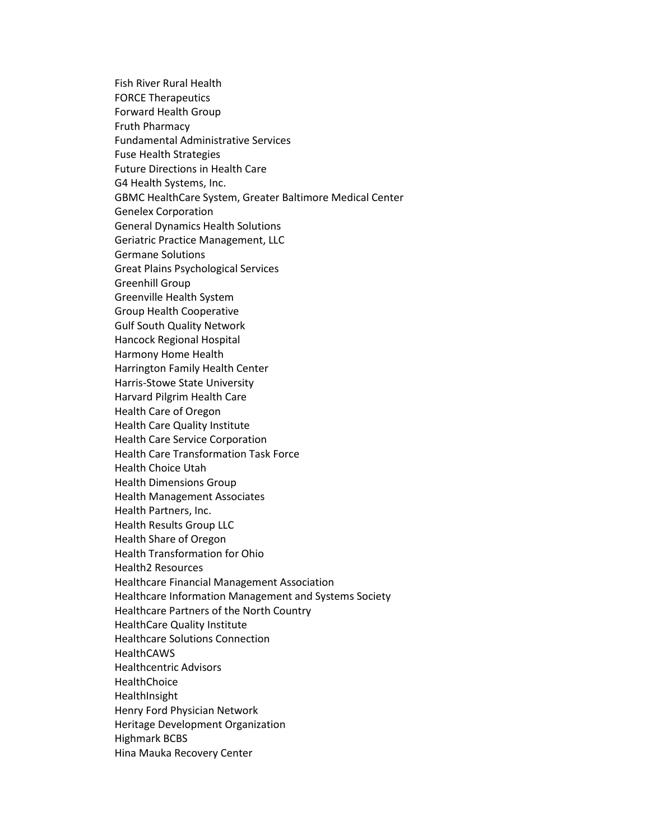Fish River Rural Health FORCE Therapeutics Forward Health Group Fruth Pharmacy Fundamental Administrative Services Fuse Health Strategies Future Directions in Health Care G4 Health Systems, Inc. GBMC HealthCare System, Greater Baltimore Medical Center Genelex Corporation General Dynamics Health Solutions Geriatric Practice Management, LLC Germane Solutions Great Plains Psychological Services Greenhill Group Greenville Health System Group Health Cooperative Gulf South Quality Network Hancock Regional Hospital Harmony Home Health Harrington Family Health Center Harris-Stowe State University Harvard Pilgrim Health Care Health Care of Oregon Health Care Quality Institute Health Care Service Corporation Health Care Transformation Task Force Health Choice Utah Health Dimensions Group Health Management Associates Health Partners, Inc. Health Results Group LLC Health Share of Oregon Health Transformation for Ohio Health2 Resources Healthcare Financial Management Association Healthcare Information Management and Systems Society Healthcare Partners of the North Country HealthCare Quality Institute Healthcare Solutions Connection **HealthCAWS** Healthcentric Advisors **HealthChoice** HealthInsight Henry Ford Physician Network Heritage Development Organization Highmark BCBS Hina Mauka Recovery Center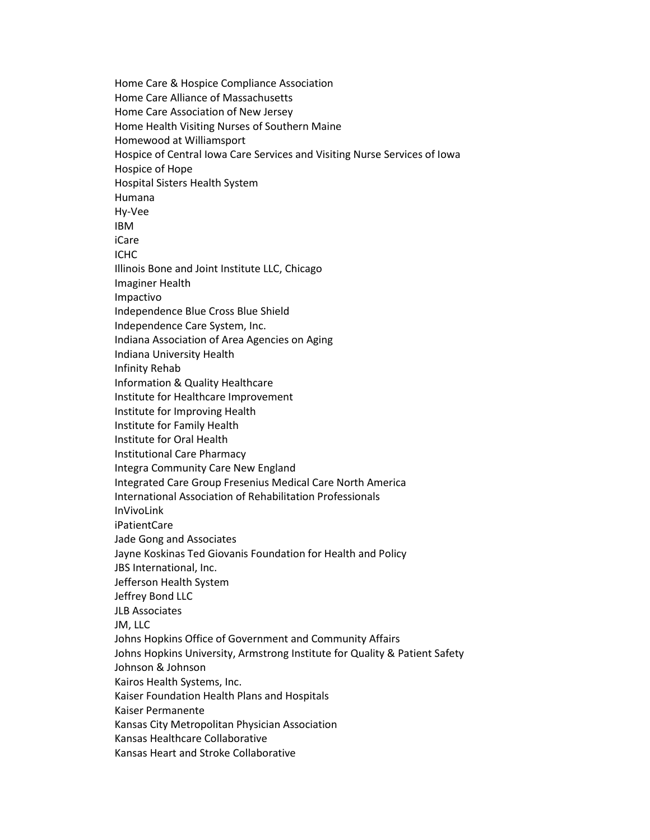Home Care & Hospice Compliance Association Home Care Alliance of Massachusetts Home Care Association of New Jersey Home Health Visiting Nurses of Southern Maine Homewood at Williamsport Hospice of Central Iowa Care Services and Visiting Nurse Services of Iowa Hospice of Hope Hospital Sisters Health System Humana Hy-Vee IBM iCare ICHC Illinois Bone and Joint Institute LLC, Chicago Imaginer Health Impactivo Independence Blue Cross Blue Shield Independence Care System, Inc. Indiana Association of Area Agencies on Aging Indiana University Health Infinity Rehab Information & Quality Healthcare Institute for Healthcare Improvement Institute for Improving Health Institute for Family Health Institute for Oral Health Institutional Care Pharmacy Integra Community Care New England Integrated Care Group Fresenius Medical Care North America International Association of Rehabilitation Professionals InVivoLink iPatientCare Jade Gong and Associates Jayne Koskinas Ted Giovanis Foundation for Health and Policy JBS International, Inc. Jefferson Health System Jeffrey Bond LLC JLB Associates JM, LLC Johns Hopkins Office of Government and Community Affairs Johns Hopkins University, Armstrong Institute for Quality & Patient Safety Johnson & Johnson Kairos Health Systems, Inc. Kaiser Foundation Health Plans and Hospitals Kaiser Permanente Kansas City Metropolitan Physician Association Kansas Healthcare Collaborative Kansas Heart and Stroke Collaborative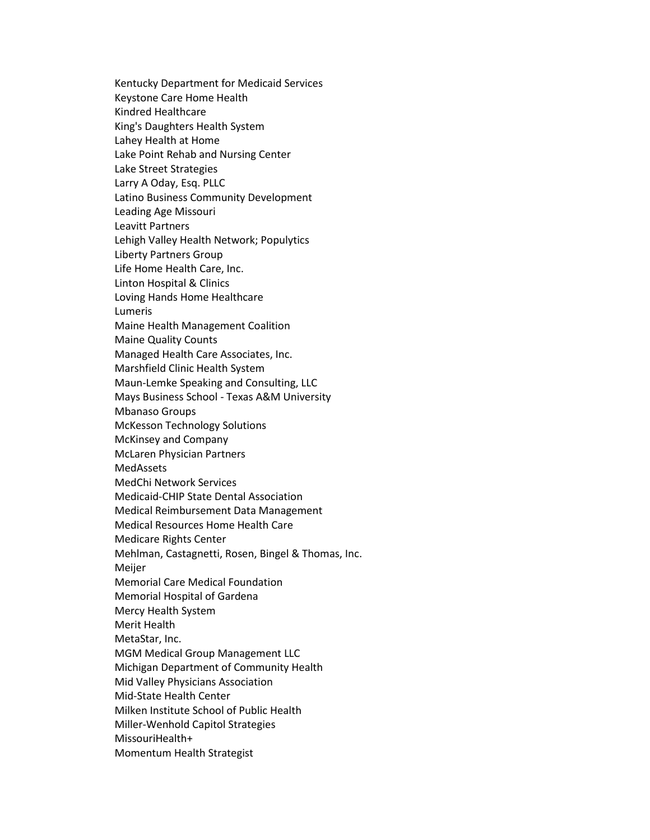Kentucky Department for Medicaid Services Keystone Care Home Health Kindred Healthcare King's Daughters Health System Lahey Health at Home Lake Point Rehab and Nursing Center Lake Street Strategies Larry A Oday, Esq. PLLC Latino Business Community Development Leading Age Missouri Leavitt Partners Lehigh Valley Health Network; Populytics Liberty Partners Group Life Home Health Care, Inc. Linton Hospital & Clinics Loving Hands Home Healthcare Lumeris Maine Health Management Coalition Maine Quality Counts Managed Health Care Associates, Inc. Marshfield Clinic Health System Maun-Lemke Speaking and Consulting, LLC Mays Business School - Texas A&M University Mbanaso Groups McKesson Technology Solutions McKinsey and Company McLaren Physician Partners MedAssets MedChi Network Services Medicaid-CHIP State Dental Association Medical Reimbursement Data Management Medical Resources Home Health Care Medicare Rights Center Mehlman, Castagnetti, Rosen, Bingel & Thomas, Inc. Meijer Memorial Care Medical Foundation Memorial Hospital of Gardena Mercy Health System Merit Health MetaStar, Inc. MGM Medical Group Management LLC Michigan Department of Community Health Mid Valley Physicians Association Mid-State Health Center Milken Institute School of Public Health Miller-Wenhold Capitol Strategies MissouriHealth+ Momentum Health Strategist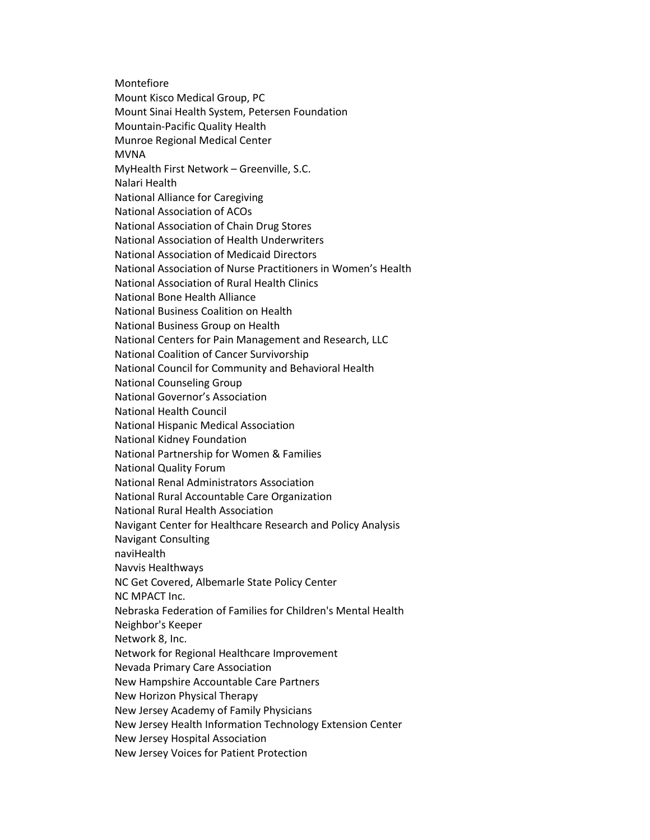Montefiore Mount Kisco Medical Group, PC Mount Sinai Health System, Petersen Foundation Mountain-Pacific Quality Health Munroe Regional Medical Center MVNA MyHealth First Network – Greenville, S.C. Nalari Health National Alliance for Caregiving National Association of ACOs National Association of Chain Drug Stores National Association of Health Underwriters National Association of Medicaid Directors National Association of Nurse Practitioners in Women's Health National Association of Rural Health Clinics National Bone Health Alliance National Business Coalition on Health National Business Group on Health National Centers for Pain Management and Research, LLC National Coalition of Cancer Survivorship National Council for Community and Behavioral Health National Counseling Group National Governor's Association National Health Council National Hispanic Medical Association National Kidney Foundation National Partnership for Women & Families National Quality Forum National Renal Administrators Association National Rural Accountable Care Organization National Rural Health Association Navigant Center for Healthcare Research and Policy Analysis Navigant Consulting naviHealth Navvis Healthways NC Get Covered, Albemarle State Policy Center NC MPACT Inc. Nebraska Federation of Families for Children's Mental Health Neighbor's Keeper Network 8, Inc. Network for Regional Healthcare Improvement Nevada Primary Care Association New Hampshire Accountable Care Partners New Horizon Physical Therapy New Jersey Academy of Family Physicians New Jersey Health Information Technology Extension Center New Jersey Hospital Association New Jersey Voices for Patient Protection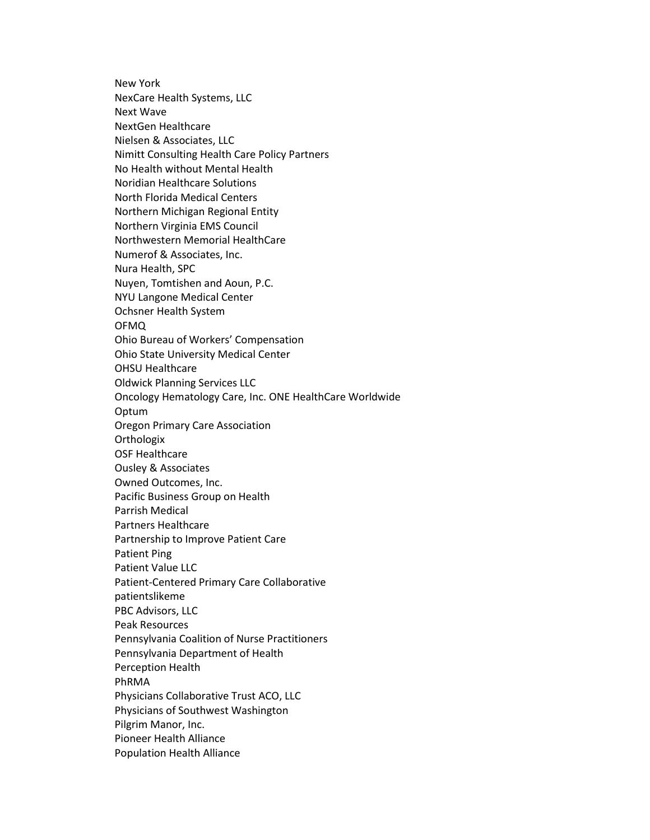New York NexCare Health Systems, LLC Next Wave NextGen Healthcare Nielsen & Associates, LLC Nimitt Consulting Health Care Policy Partners No Health without Mental Health Noridian Healthcare Solutions North Florida Medical Centers Northern Michigan Regional Entity Northern Virginia EMS Council Northwestern Memorial HealthCare Numerof & Associates, Inc. Nura Health, SPC Nuyen, Tomtishen and Aoun, P.C. NYU Langone Medical Center Ochsner Health System OFMQ Ohio Bureau of Workers' Compensation Ohio State University Medical Center OHSU Healthcare Oldwick Planning Services LLC Oncology Hematology Care, Inc. ONE HealthCare Worldwide Optum Oregon Primary Care Association **Orthologix** OSF Healthcare Ousley & Associates Owned Outcomes, Inc. Pacific Business Group on Health Parrish Medical Partners Healthcare Partnership to Improve Patient Care Patient Ping Patient Value LLC Patient-Centered Primary Care Collaborative patientslikeme PBC Advisors, LLC Peak Resources Pennsylvania Coalition of Nurse Practitioners Pennsylvania Department of Health Perception Health PhRMA Physicians Collaborative Trust ACO, LLC Physicians of Southwest Washington Pilgrim Manor, Inc. Pioneer Health Alliance Population Health Alliance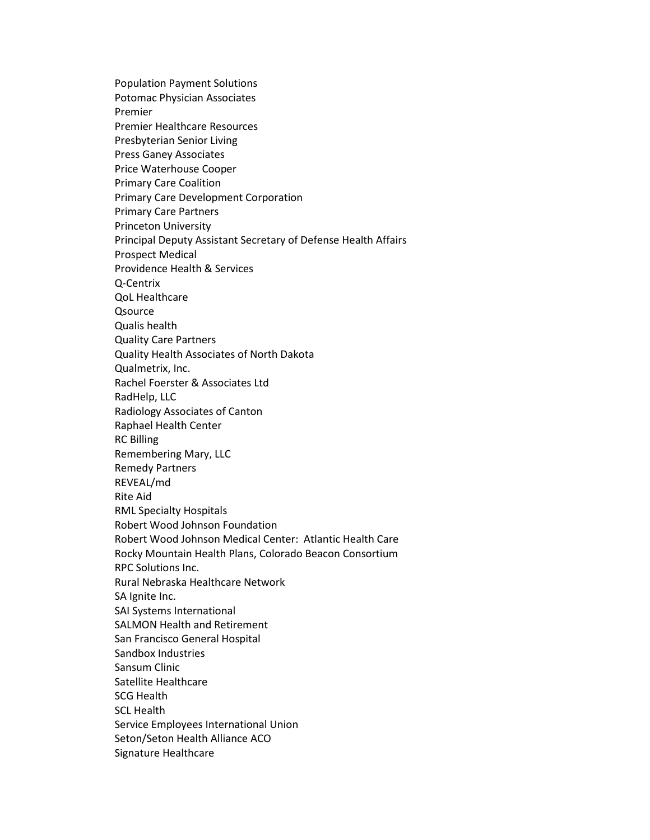Population Payment Solutions Potomac Physician Associates Premier Premier Healthcare Resources Presbyterian Senior Living Press Ganey Associates Price Waterhouse Cooper Primary Care Coalition Primary Care Development Corporation Primary Care Partners Princeton University Principal Deputy Assistant Secretary of Defense Health Affairs Prospect Medical Providence Health & Services Q-Centrix QoL Healthcare **Qsource** Qualis health Quality Care Partners Quality Health Associates of North Dakota Qualmetrix, Inc. Rachel Foerster & Associates Ltd RadHelp, LLC Radiology Associates of Canton Raphael Health Center RC Billing Remembering Mary, LLC Remedy Partners REVEAL/md Rite Aid RML Specialty Hospitals Robert Wood Johnson Foundation Robert Wood Johnson Medical Center: Atlantic Health Care Rocky Mountain Health Plans, Colorado Beacon Consortium RPC Solutions Inc. Rural Nebraska Healthcare Network SA Ignite Inc. SAI Systems International SALMON Health and Retirement San Francisco General Hospital Sandbox Industries Sansum Clinic Satellite Healthcare SCG Health SCL Health Service Employees International Union Seton/Seton Health Alliance ACO Signature Healthcare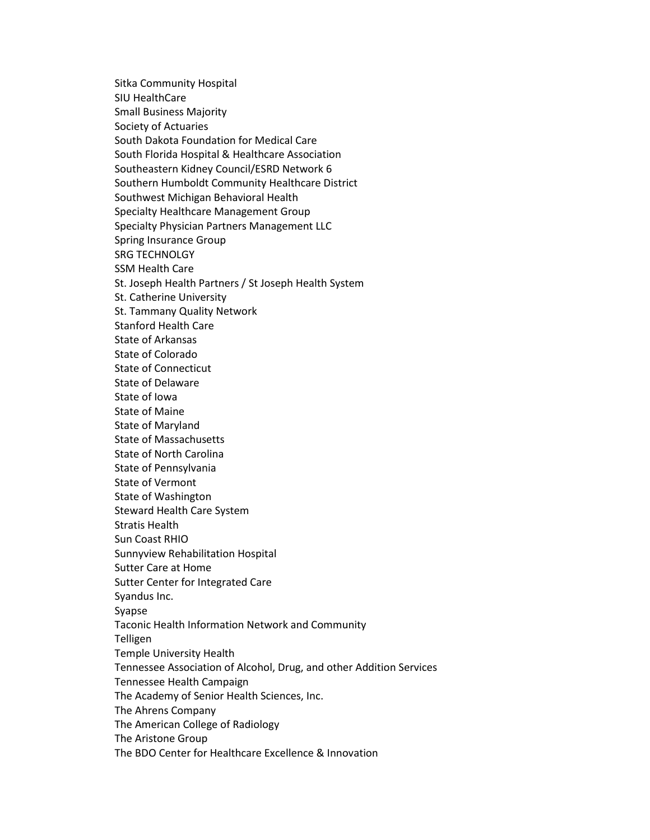Sitka Community Hospital SIU HealthCare Small Business Majority Society of Actuaries South Dakota Foundation for Medical Care South Florida Hospital & Healthcare Association Southeastern Kidney Council/ESRD Network 6 Southern Humboldt Community Healthcare District Southwest Michigan Behavioral Health Specialty Healthcare Management Group Specialty Physician Partners Management LLC Spring Insurance Group SRG TECHNOLGY SSM Health Care St. Joseph Health Partners / St Joseph Health System St. Catherine University St. Tammany Quality Network Stanford Health Care State of Arkansas State of Colorado State of Connecticut State of Delaware State of Iowa State of Maine State of Maryland State of Massachusetts State of North Carolina State of Pennsylvania State of Vermont State of Washington Steward Health Care System Stratis Health Sun Coast RHIO Sunnyview Rehabilitation Hospital Sutter Care at Home Sutter Center for Integrated Care Syandus Inc. Syapse Taconic Health Information Network and Community Telligen Temple University Health Tennessee Association of Alcohol, Drug, and other Addition Services Tennessee Health Campaign The Academy of Senior Health Sciences, Inc. The Ahrens Company The American College of Radiology The Aristone Group The BDO Center for Healthcare Excellence & Innovation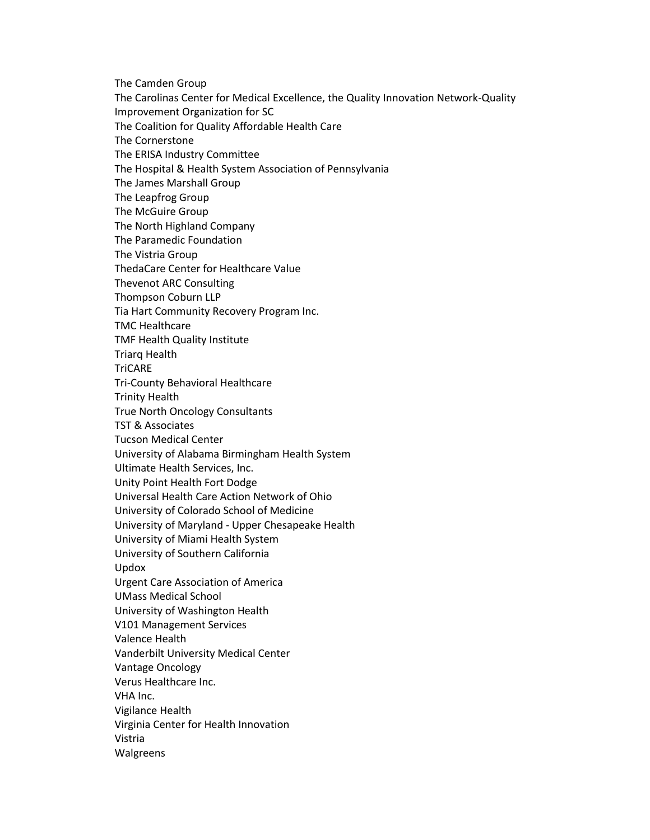The Camden Group The Carolinas Center for Medical Excellence, the Quality Innovation Network-Quality Improvement Organization for SC The Coalition for Quality Affordable Health Care The Cornerstone The ERISA Industry Committee The Hospital & Health System Association of Pennsylvania The James Marshall Group The Leapfrog Group The McGuire Group The North Highland Company The Paramedic Foundation The Vistria Group ThedaCare Center for Healthcare Value Thevenot ARC Consulting Thompson Coburn LLP Tia Hart Community Recovery Program Inc. TMC Healthcare TMF Health Quality Institute Triarq Health **TriCARE** Tri-County Behavioral Healthcare Trinity Health True North Oncology Consultants TST & Associates Tucson Medical Center University of Alabama Birmingham Health System Ultimate Health Services, Inc. Unity Point Health Fort Dodge Universal Health Care Action Network of Ohio University of Colorado School of Medicine University of Maryland - Upper Chesapeake Health University of Miami Health System University of Southern California Updox Urgent Care Association of America UMass Medical School University of Washington Health V101 Management Services Valence Health Vanderbilt University Medical Center Vantage Oncology Verus Healthcare Inc. VHA Inc. Vigilance Health Virginia Center for Health Innovation Vistria Walgreens